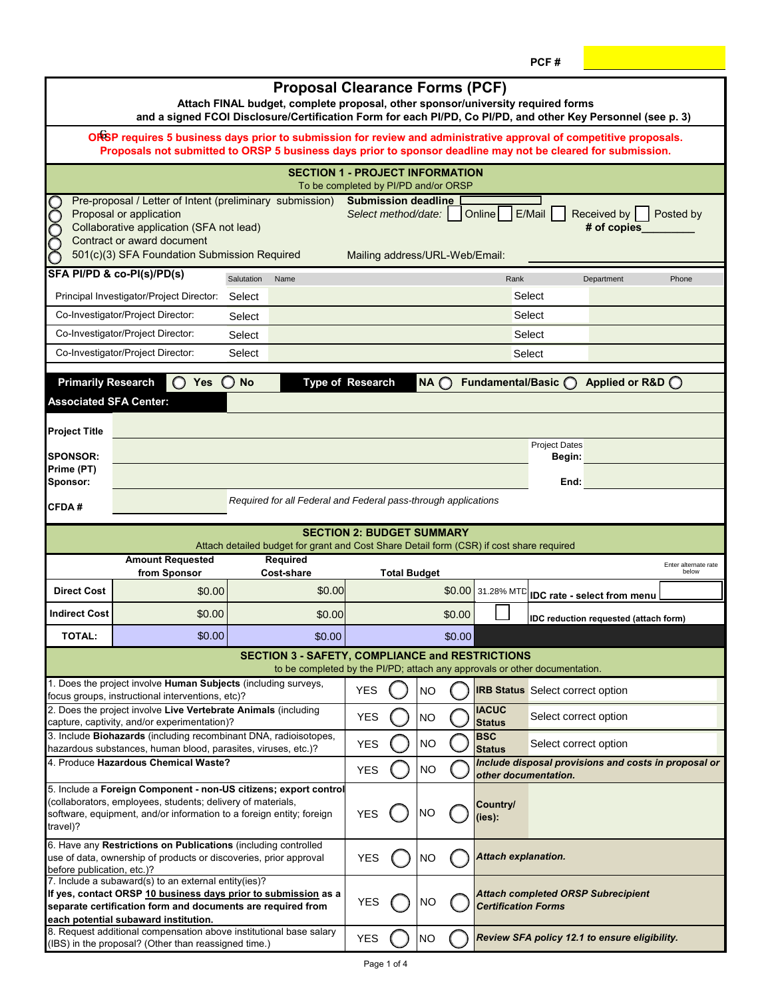| <b>Proposal Clearance Forms (PCF)</b><br>Attach FINAL budget, complete proposal, other sponsor/university required forms<br>and a signed FCOI Disclosure/Certification Form for each PI/PD, Co PI/PD, and other Key Personnel (see p. 3)                                                                                                                                                                                   |                                                                                                                                   |                                                                                          |            |                     |                |        |                               |                                         |                                                      |                               |
|----------------------------------------------------------------------------------------------------------------------------------------------------------------------------------------------------------------------------------------------------------------------------------------------------------------------------------------------------------------------------------------------------------------------------|-----------------------------------------------------------------------------------------------------------------------------------|------------------------------------------------------------------------------------------|------------|---------------------|----------------|--------|-------------------------------|-----------------------------------------|------------------------------------------------------|-------------------------------|
| ORSP requires 5 business days prior to submission for review and administrative approval of competitive proposals.<br>Proposals not submitted to ORSP 5 business days prior to sponsor deadline may not be cleared for submission.                                                                                                                                                                                         |                                                                                                                                   |                                                                                          |            |                     |                |        |                               |                                         |                                                      |                               |
|                                                                                                                                                                                                                                                                                                                                                                                                                            |                                                                                                                                   | <b>SECTION 1 - PROJECT INFORMATION</b>                                                   |            |                     |                |        |                               |                                         |                                                      |                               |
| To be completed by PI/PD and/or ORSP<br>pooo<br>Pre-proposal / Letter of Intent (preliminary submission)<br><b>Submission deadline</b><br>E/Mail<br>Proposal or application<br><b>Online</b><br>Received by<br>Select method/date:<br>Posted by<br>Collaborative application (SFA not lead)<br># of copies<br>Contract or award document<br>501(c)(3) SFA Foundation Submission Required<br>Mailing address/URL-Web/Email: |                                                                                                                                   |                                                                                          |            |                     |                |        |                               |                                         |                                                      |                               |
|                                                                                                                                                                                                                                                                                                                                                                                                                            | SFA PI/PD & co-PI(s)/PD(s)                                                                                                        | Salutation<br>Name                                                                       |            |                     |                |        | Rank                          |                                         | Department                                           | Phone                         |
|                                                                                                                                                                                                                                                                                                                                                                                                                            | Principal Investigator/Project Director:                                                                                          | Select                                                                                   | Select     |                     |                |        |                               |                                         |                                                      |                               |
|                                                                                                                                                                                                                                                                                                                                                                                                                            | Co-Investigator/Project Director:                                                                                                 | Select                                                                                   | Select     |                     |                |        |                               |                                         |                                                      |                               |
|                                                                                                                                                                                                                                                                                                                                                                                                                            | Co-Investigator/Project Director:                                                                                                 | Select<br>Select                                                                         |            |                     |                |        |                               |                                         |                                                      |                               |
|                                                                                                                                                                                                                                                                                                                                                                                                                            | Co-Investigator/Project Director:                                                                                                 | Select                                                                                   |            |                     |                |        |                               | Select                                  |                                                      |                               |
| <b>Primarily Research</b>                                                                                                                                                                                                                                                                                                                                                                                                  | Yes $\bigcirc$                                                                                                                    | <b>Type of Research</b><br><b>No</b>                                                     |            |                     | $NA$ $\bigcap$ |        | Fundamental/Basic             |                                         | Applied or R&D O                                     |                               |
| <b>Associated SFA Center:</b>                                                                                                                                                                                                                                                                                                                                                                                              |                                                                                                                                   |                                                                                          |            |                     |                |        |                               |                                         |                                                      |                               |
| <b>Project Title</b>                                                                                                                                                                                                                                                                                                                                                                                                       |                                                                                                                                   |                                                                                          |            |                     |                |        |                               |                                         |                                                      |                               |
| <b>SPONSOR:</b>                                                                                                                                                                                                                                                                                                                                                                                                            |                                                                                                                                   |                                                                                          |            |                     |                |        |                               | <b>Project Dates</b><br>Begin:          |                                                      |                               |
| Prime (PT)<br>Sponsor:                                                                                                                                                                                                                                                                                                                                                                                                     |                                                                                                                                   |                                                                                          |            |                     |                |        |                               | End:                                    |                                                      |                               |
| CFDA#                                                                                                                                                                                                                                                                                                                                                                                                                      |                                                                                                                                   | Required for all Federal and Federal pass-through applications                           |            |                     |                |        |                               |                                         |                                                      |                               |
|                                                                                                                                                                                                                                                                                                                                                                                                                            | <b>SECTION 2: BUDGET SUMMARY</b>                                                                                                  |                                                                                          |            |                     |                |        |                               |                                         |                                                      |                               |
|                                                                                                                                                                                                                                                                                                                                                                                                                            |                                                                                                                                   | Attach detailed budget for grant and Cost Share Detail form (CSR) if cost share required |            |                     |                |        |                               |                                         |                                                      |                               |
|                                                                                                                                                                                                                                                                                                                                                                                                                            | <b>Amount Requested</b><br>from Sponsor                                                                                           | <b>Required</b><br><b>Cost-share</b>                                                     |            | <b>Total Budget</b> |                |        |                               |                                         |                                                      | Enter alternate rate<br>below |
| <b>Direct Cost</b>                                                                                                                                                                                                                                                                                                                                                                                                         | \$0.00                                                                                                                            | \$0.00                                                                                   |            |                     |                |        | \$0.00 31.28% MTD             |                                         | <b>IDC rate - select from menu</b>                   |                               |
| <b>Indirect Cost</b>                                                                                                                                                                                                                                                                                                                                                                                                       | \$0.00                                                                                                                            | \$0.00                                                                                   |            |                     |                | \$0.00 |                               |                                         | IDC reduction requested (attach form)                |                               |
| <b>TOTAL:</b>                                                                                                                                                                                                                                                                                                                                                                                                              | \$0.00                                                                                                                            | \$0.00                                                                                   |            |                     |                | \$0.00 |                               |                                         |                                                      |                               |
| <b>SECTION 3 - SAFETY, COMPLIANCE and RESTRICTIONS</b>                                                                                                                                                                                                                                                                                                                                                                     |                                                                                                                                   |                                                                                          |            |                     |                |        |                               |                                         |                                                      |                               |
|                                                                                                                                                                                                                                                                                                                                                                                                                            | 1. Does the project involve Human Subjects (including surveys,                                                                    | to be completed by the PI/PD; attach any approvals or other documentation.               |            |                     |                |        |                               |                                         |                                                      |                               |
|                                                                                                                                                                                                                                                                                                                                                                                                                            | focus groups, instructional interventions, etc)?                                                                                  |                                                                                          | <b>YES</b> |                     | <b>NO</b>      |        |                               | <b>IRB Status</b> Select correct option |                                                      |                               |
|                                                                                                                                                                                                                                                                                                                                                                                                                            | 2. Does the project involve Live Vertebrate Animals (including<br>capture, captivity, and/or experimentation)?                    |                                                                                          | <b>YES</b> |                     | <b>NO</b>      |        | <b>IACUC</b><br><b>Status</b> | Select correct option                   |                                                      |                               |
|                                                                                                                                                                                                                                                                                                                                                                                                                            | 3. Include Biohazards (including recombinant DNA, radioisotopes,<br>hazardous substances, human blood, parasites, viruses, etc.)? |                                                                                          | <b>YES</b> |                     | <b>NO</b>      |        | <b>BSC</b><br><b>Status</b>   | Select correct option                   |                                                      |                               |
| 4. Produce Hazardous Chemical Waste?                                                                                                                                                                                                                                                                                                                                                                                       |                                                                                                                                   |                                                                                          | <b>YES</b> |                     | <b>NO</b>      |        | other documentation.          |                                         | Include disposal provisions and costs in proposal or |                               |
|                                                                                                                                                                                                                                                                                                                                                                                                                            |                                                                                                                                   | 5. Include a Foreign Component - non-US citizens; export control                         |            |                     |                |        |                               |                                         |                                                      |                               |
| (collaborators, employees, students; delivery of materials,<br><b>YES</b><br>software, equipment, and/or information to a foreign entity; foreign<br>travel)?                                                                                                                                                                                                                                                              |                                                                                                                                   |                                                                                          |            |                     | <b>NO</b>      |        | <b>Country/</b><br>(ies):     |                                         |                                                      |                               |
| 6. Have any Restrictions on Publications (including controlled<br>use of data, ownership of products or discoveries, prior approval<br>before publication, etc.)?                                                                                                                                                                                                                                                          |                                                                                                                                   |                                                                                          | <b>YES</b> |                     | <b>NO</b>      |        | <b>Attach explanation.</b>    |                                         |                                                      |                               |
| 7. Include a subaward(s) to an external entity(ies)?<br>If yes, contact ORSP 10 business days prior to submission as a<br><b>YES</b><br>separate certification form and documents are required from                                                                                                                                                                                                                        |                                                                                                                                   |                                                                                          |            |                     | <b>NO</b>      |        | <b>Certification Forms</b>    |                                         | <b>Attach completed ORSP Subrecipient</b>            |                               |
| each potential subaward institution.                                                                                                                                                                                                                                                                                                                                                                                       |                                                                                                                                   |                                                                                          |            |                     |                |        |                               |                                         |                                                      |                               |
| 8. Request additional compensation above institutional base salary<br>(IBS) in the proposal? (Other than reassigned time.)                                                                                                                                                                                                                                                                                                 |                                                                                                                                   |                                                                                          | <b>YES</b> |                     | <b>NO</b>      |        |                               |                                         | Review SFA policy 12.1 to ensure eligibility.        |                               |

**PCF #**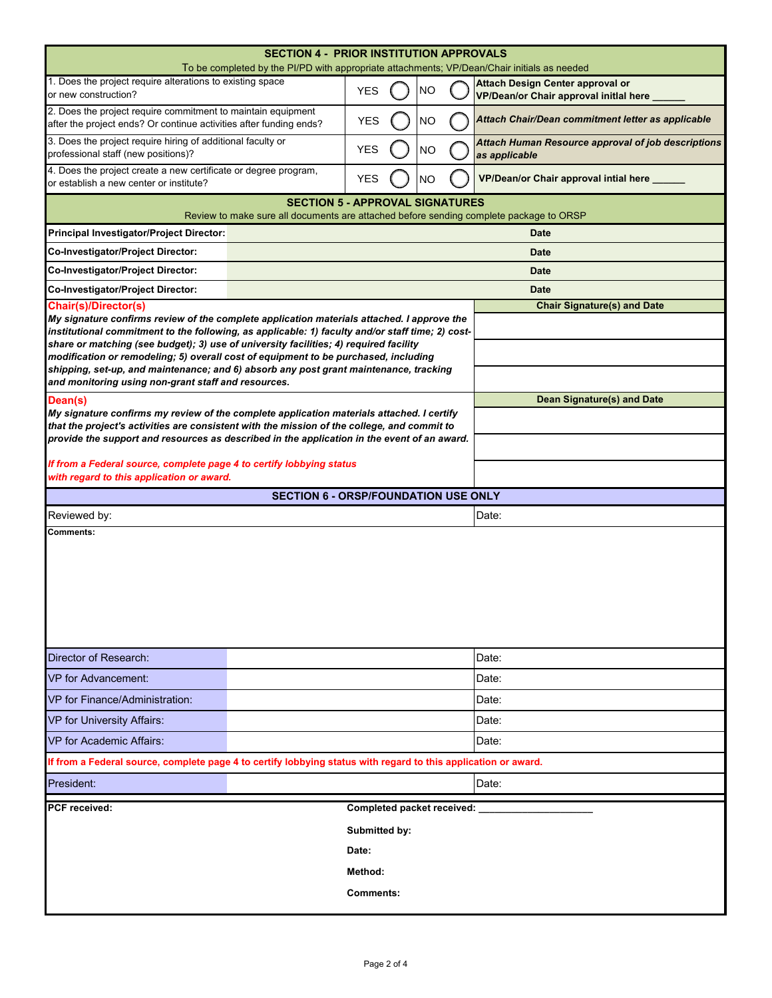| <b>SECTION 4 - PRIOR INSTITUTION APPROVALS</b><br>To be completed by the PI/PD with appropriate attachments; VP/Dean/Chair initials as needed                                                  |                            |  |           |       |                                                                                     |  |  |
|------------------------------------------------------------------------------------------------------------------------------------------------------------------------------------------------|----------------------------|--|-----------|-------|-------------------------------------------------------------------------------------|--|--|
| 1. Does the project require alterations to existing space<br>or new construction?                                                                                                              | <b>YES</b>                 |  | <b>NO</b> |       | <b>Attach Design Center approval or</b><br>VP/Dean/or Chair approval initlal here _ |  |  |
| 2. Does the project require commitment to maintain equipment<br>after the project ends? Or continue activities after funding ends?                                                             | <b>YES</b>                 |  | <b>NO</b> |       | Attach Chair/Dean commitment letter as applicable                                   |  |  |
| 3. Does the project require hiring of additional faculty or<br>professional staff (new positions)?                                                                                             | <b>YES</b>                 |  | <b>NO</b> |       | Attach Human Resource approval of job descriptions<br>as applicable                 |  |  |
| 4. Does the project create a new certificate or degree program,<br><b>YES</b><br>NΟ<br>or establish a new center or institute?                                                                 |                            |  |           |       | VP/Dean/or Chair approval intial here _____                                         |  |  |
| <b>SECTION 5 - APPROVAL SIGNATURES</b><br>Review to make sure all documents are attached before sending complete package to ORSP                                                               |                            |  |           |       |                                                                                     |  |  |
| Principal Investigator/Project Director:<br><b>Date</b>                                                                                                                                        |                            |  |           |       |                                                                                     |  |  |
| Co-Investigator/Project Director:                                                                                                                                                              |                            |  |           |       | <b>Date</b>                                                                         |  |  |
| Co-Investigator/Project Director:                                                                                                                                                              |                            |  |           |       | <b>Date</b>                                                                         |  |  |
| Co-Investigator/Project Director:                                                                                                                                                              |                            |  |           |       | <b>Date</b>                                                                         |  |  |
| <b>Chair(s)/Director(s)</b>                                                                                                                                                                    |                            |  |           |       | <b>Chair Signature(s) and Date</b>                                                  |  |  |
| My signature confirms review of the complete application materials attached. I approve the<br>institutional commitment to the following, as applicable: 1) faculty and/or staff time; 2) cost- |                            |  |           |       |                                                                                     |  |  |
| share or matching (see budget); 3) use of university facilities; 4) required facility                                                                                                          |                            |  |           |       |                                                                                     |  |  |
| modification or remodeling; 5) overall cost of equipment to be purchased, including<br>shipping, set-up, and maintenance; and 6) absorb any post grant maintenance, tracking                   |                            |  |           |       |                                                                                     |  |  |
| and monitoring using non-grant staff and resources.                                                                                                                                            |                            |  |           |       |                                                                                     |  |  |
| Dean(s)                                                                                                                                                                                        |                            |  |           |       | <b>Dean Signature(s) and Date</b>                                                   |  |  |
| My signature confirms my review of the complete application materials attached. I certify<br>that the project's activities are consistent with the mission of the college, and commit to       |                            |  |           |       |                                                                                     |  |  |
| provide the support and resources as described in the application in the event of an award.                                                                                                    |                            |  |           |       |                                                                                     |  |  |
| If from a Federal source, complete page 4 to certify lobbying status                                                                                                                           |                            |  |           |       |                                                                                     |  |  |
| with regard to this application or award.                                                                                                                                                      |                            |  |           |       |                                                                                     |  |  |
| <b>SECTION 6 - ORSP/FOUNDATION USE ONLY</b>                                                                                                                                                    |                            |  |           |       |                                                                                     |  |  |
| Reviewed by:<br>Date:                                                                                                                                                                          |                            |  |           |       |                                                                                     |  |  |
| <b>Comments:</b>                                                                                                                                                                               |                            |  |           |       |                                                                                     |  |  |
|                                                                                                                                                                                                |                            |  |           |       |                                                                                     |  |  |
| Director of Research:                                                                                                                                                                          |                            |  |           |       | Date:                                                                               |  |  |
| <b>VP</b> for Advancement:                                                                                                                                                                     |                            |  |           | Date: |                                                                                     |  |  |
| VP for Finance/Administration:                                                                                                                                                                 |                            |  |           |       | Date:                                                                               |  |  |
| <b>VP for University Affairs:</b>                                                                                                                                                              |                            |  |           |       | Date:                                                                               |  |  |
| <b>VP for Academic Affairs:</b><br>Date:                                                                                                                                                       |                            |  |           |       |                                                                                     |  |  |
| If from a Federal source, complete page 4 to certify lobbying status with regard to this application or award.                                                                                 |                            |  |           |       |                                                                                     |  |  |
| President:                                                                                                                                                                                     |                            |  |           |       | Date:                                                                               |  |  |
| <b>PCF</b> received:                                                                                                                                                                           | Completed packet received: |  |           |       |                                                                                     |  |  |
|                                                                                                                                                                                                | Submitted by:              |  |           |       |                                                                                     |  |  |
|                                                                                                                                                                                                | Date:                      |  |           |       |                                                                                     |  |  |
|                                                                                                                                                                                                | Method:                    |  |           |       |                                                                                     |  |  |
|                                                                                                                                                                                                | <b>Comments:</b>           |  |           |       |                                                                                     |  |  |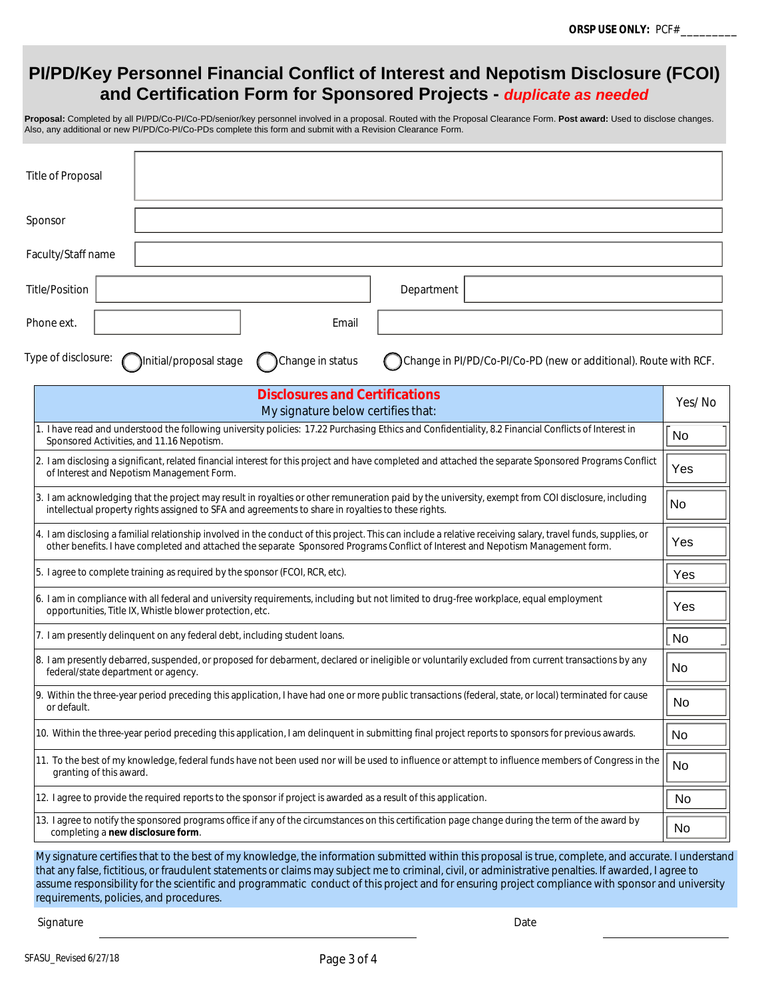## **PI/PD/Key Personnel Financial Conflict of Interest and Nepotism Disclosure (FCOI) and Certification Form for Sponsored Projects -** *duplicate as needed*

**Proposal:** Completed by all PI/PD/Co-PI/Co-PD/senior/key personnel involved in a proposal. Routed with the Proposal Clearance Form. **Post award:** Used to disclose changes. Also, any additional or new PI/PD/Co-PI/Co-PDs complete this form and submit with a Revision Clearance Form.

| <b>Title of Proposal</b>                                                                                                                                                                                                                                                                         |                                                                  |  |  |  |  |  |
|--------------------------------------------------------------------------------------------------------------------------------------------------------------------------------------------------------------------------------------------------------------------------------------------------|------------------------------------------------------------------|--|--|--|--|--|
| Sponsor                                                                                                                                                                                                                                                                                          |                                                                  |  |  |  |  |  |
| Faculty/Staff name                                                                                                                                                                                                                                                                               |                                                                  |  |  |  |  |  |
| <b>Title/Position</b><br>Department                                                                                                                                                                                                                                                              |                                                                  |  |  |  |  |  |
| Email<br>Phone ext.                                                                                                                                                                                                                                                                              |                                                                  |  |  |  |  |  |
| Type of disclosure:<br>Initial/proposal stage<br>Change in status                                                                                                                                                                                                                                | Change in PI/PD/Co-PI/Co-PD (new or additional). Route with RCF. |  |  |  |  |  |
| <b>Disclosures and Certifications</b><br>Yes/No<br>My signature below certifies that:                                                                                                                                                                                                            |                                                                  |  |  |  |  |  |
| 1. I have read and understood the following university policies: 17.22 Purchasing Ethics and Confidentiality, 8.2 Financial Conflicts of Interest in<br>No<br>Sponsored Activities, and 11.16 Nepotism.                                                                                          |                                                                  |  |  |  |  |  |
| 2. I am disclosing a significant, related financial interest for this project and have completed and attached the separate Sponsored Programs Conflict<br>Yes<br>of Interest and Nepotism Management Form.                                                                                       |                                                                  |  |  |  |  |  |
| 3. I am acknowledging that the project may result in royalties or other remuneration paid by the university, exempt from COI disclosure, including<br><b>No</b><br>intellectual property rights assigned to SFA and agreements to share in royalties to these rights.                            |                                                                  |  |  |  |  |  |
| 4. I am disclosing a familial relationship involved in the conduct of this project. This can include a relative receiving salary, travel funds, supplies, or<br>other benefits. I have completed and attached the separate Sponsored Programs Conflict of Interest and Nepotism Management form. |                                                                  |  |  |  |  |  |
| 5. I agree to complete training as required by the sponsor (FCOI, RCR, etc).<br>Yes                                                                                                                                                                                                              |                                                                  |  |  |  |  |  |
| 6. I am in compliance with all federal and university requirements, including but not limited to drug-free workplace, equal employment<br>Yes<br>opportunities, Title IX, Whistle blower protection, etc.                                                                                        |                                                                  |  |  |  |  |  |
| 7. I am presently delinquent on any federal debt, including student loans.<br>  No                                                                                                                                                                                                               |                                                                  |  |  |  |  |  |
| 8. I am presently debarred, suspended, or proposed for debarment, declared or ineligible or voluntarily excluded from current transactions by any<br>No<br>federal/state department or agency.                                                                                                   |                                                                  |  |  |  |  |  |
| 9. Within the three-year period preceding this application, I have had one or more public transactions (federal, state, or local) terminated for cause<br>or default.                                                                                                                            |                                                                  |  |  |  |  |  |

10. Within the three-year period preceding this application, I am delinquent in submitting final project reports to sponsors for previous awards.

| 10. Within the three-year period preceding this application, I am delinguent in submitting final project reports to sponsors for previous awards.                                   | ‼ No      |
|-------------------------------------------------------------------------------------------------------------------------------------------------------------------------------------|-----------|
| 11. To the best of my knowledge, federal funds have not been used nor will be used to influence or attempt to influence members of Congress in the    No<br>granting of this award. |           |
| 12. I agree to provide the required reports to the sponsor if project is awarded as a result of this application.                                                                   | <b>No</b> |

12. I agree to provide the required reports to the sponsor if project is awarded as a result of this application.

13. I agree to notify the sponsored programs office if any of the circumstances on this certification page change during the term of the award by completing a **new disclosure form**. No

My signature certifies that to the best of my knowledge, the information submitted within this proposal is true, complete, and accurate. I understand that any false, fictitious, or fraudulent statements or claims may subject me to criminal, civil, or administrative penalties. If awarded, I agree to assume responsibility for the scientific and programmatic conduct of this project and for ensuring project compliance with sponsor and university requirements, policies, and procedures.

Signature Date Date of the State of the State of the State of the Date of the Date of the Date of the Date of the Date of the Date of the Date of the Date of the Date of the Date of the Date of the Date of the Date of the